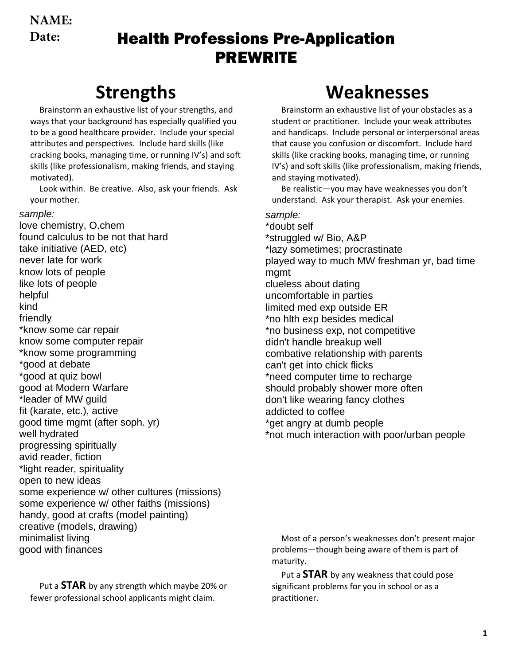**NAME: Date:**

### Health Professions Pre-Application PREWRITE

# **Strengths**

Brainstorm an exhaustive list of your strengths, and ways that your background has especially qualified you to be a good healthcare provider. Include your special attributes and perspectives. Include hard skills (like cracking books, managing time, or running IV's) and soft skills (like professionalism, making friends, and staying motivated).

Look within. Be creative. Also, ask your friends. Ask your mother.

#### sample:

love chemistry, O.chem found calculus to be not that hard take initiative (AED, etc) never late for work know lots of people like lots of people helpful kind friendly \*know some car repair know some computer repair \*know some programming \*good at debate \*good at quiz bowl good at Modern Warfare \*leader of MW guild fit (karate, etc.), active good time mgmt (after soph. yr) well hydrated progressing spiritually avid reader, fiction \*light reader, spirituality open to new ideas some experience w/ other cultures (missions) some experience w/ other faiths (missions) handy, good at crafts (model painting) creative (models, drawing) minimalist living good with finances

Put a **STAR** by any strength which maybe 20% or fewer professional school applicants might claim.

## **Weaknesses**

Brainstorm an exhaustive list of your obstacles as a student or practitioner. Include your weak attributes and handicaps. Include personal or interpersonal areas that cause you confusion or discomfort. Include hard skills (like cracking books, managing time, or running IV's) and soft skills (like professionalism, making friends, and staying motivated).

Be realistic—you may have weaknesses you don't understand. Ask your therapist. Ask your enemies.

#### sample:

\*doubt self \*struggled w/ Bio, A&P \*lazy sometimes; procrastinate played way to much MW freshman yr, bad time mgmt clueless about dating uncomfortable in parties limited med exp outside ER \*no hlth exp besides medical \*no business exp, not competitive didn't handle breakup well combative relationship with parents can't get into chick flicks \*need computer time to recharge should probably shower more often don't like wearing fancy clothes addicted to coffee \*get angry at dumb people \*not much interaction with poor/urban people

Most of a person's weaknesses don't present major problems—though being aware of them is part of maturity.

Put a **STAR** by any weakness that could pose significant problems for you in school or as a practitioner.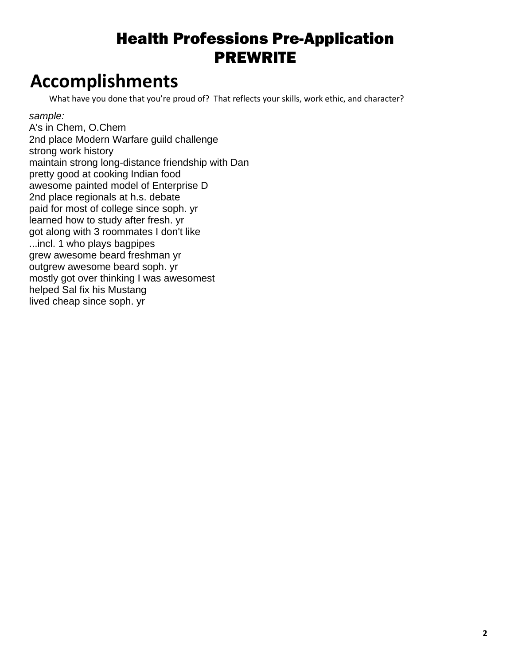# **Accomplishments**

What have you done that you're proud of? That reflects your skills, work ethic, and character?

sample:

A's in Chem, O.Chem 2nd place Modern Warfare guild challenge strong work history maintain strong long-distance friendship with Dan pretty good at cooking Indian food awesome painted model of Enterprise D 2nd place regionals at h.s. debate paid for most of college since soph. yr learned how to study after fresh. yr got along with 3 roommates I don't like ...incl. 1 who plays bagpipes grew awesome beard freshman yr outgrew awesome beard soph. yr mostly got over thinking I was awesomest helped Sal fix his Mustang lived cheap since soph. yr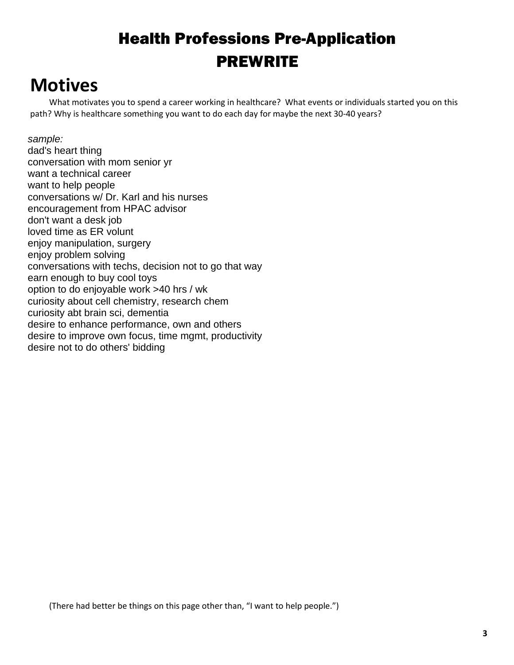## **Motives**

What motivates you to spend a career working in healthcare? What events or individuals started you on this path? Why is healthcare something you want to do each day for maybe the next 30-40 years?

#### sample:

dad's heart thing conversation with mom senior yr want a technical career want to help people conversations w/ Dr. Karl and his nurses encouragement from HPAC advisor don't want a desk job loved time as ER volunt enjoy manipulation, surgery enjoy problem solving conversations with techs, decision not to go that way earn enough to buy cool toys option to do enjoyable work >40 hrs / wk curiosity about cell chemistry, research chem curiosity abt brain sci, dementia desire to enhance performance, own and others desire to improve own focus, time mgmt, productivity desire not to do others' bidding

(There had better be things on this page other than, "I want to help people.")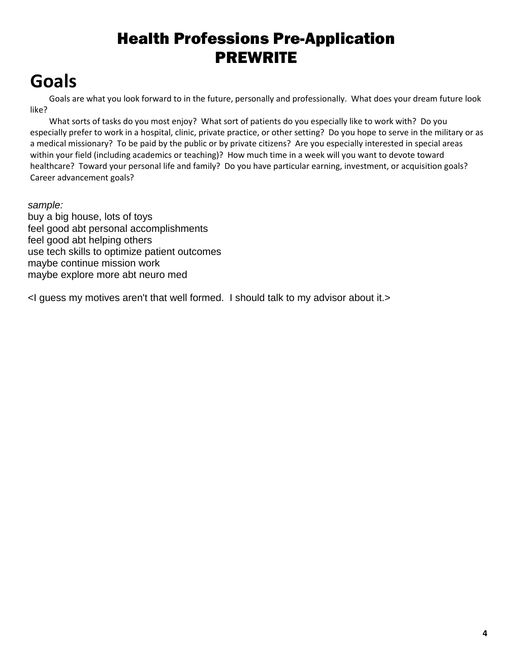# **Goals**

Goals are what you look forward to in the future, personally and professionally. What does your dream future look like?

What sorts of tasks do you most enjoy? What sort of patients do you especially like to work with? Do you especially prefer to work in a hospital, clinic, private practice, or other setting? Do you hope to serve in the military or as a medical missionary? To be paid by the public or by private citizens? Are you especially interested in special areas within your field (including academics or teaching)? How much time in a week will you want to devote toward healthcare? Toward your personal life and family? Do you have particular earning, investment, or acquisition goals? Career advancement goals?

#### sample:

buy a big house, lots of toys feel good abt personal accomplishments feel good abt helping others use tech skills to optimize patient outcomes maybe continue mission work maybe explore more abt neuro med

<I guess my motives aren't that well formed. I should talk to my advisor about it.>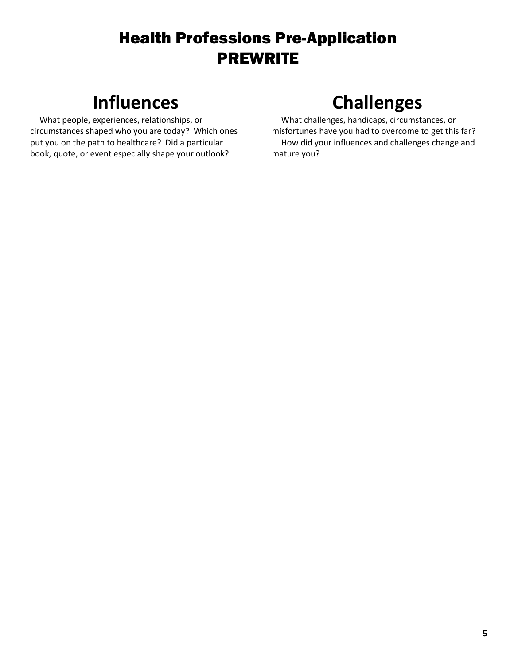# **Influences**

What people, experiences, relationships, or circumstances shaped who you are today? Which ones put you on the path to healthcare? Did a particular book, quote, or event especially shape your outlook?

# **Challenges**

What challenges, handicaps, circumstances, or misfortunes have you had to overcome to get this far? How did your influences and challenges change and mature you?